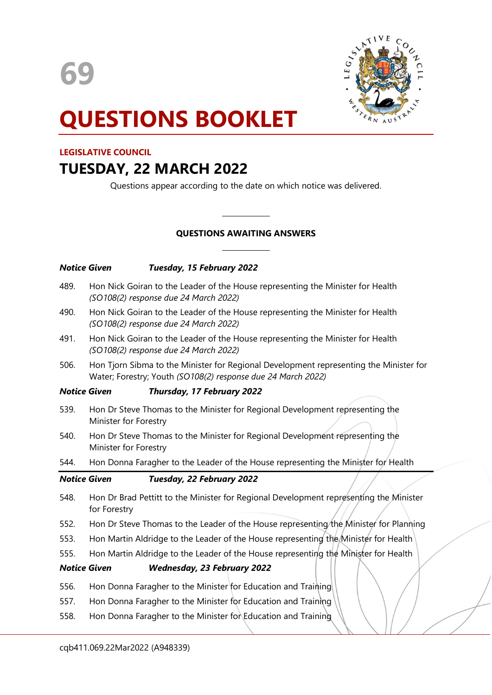

# QUESTIONS BOOKLET

# LEGISLATIVE COUNCIL

# TUESDAY, 22 MARCH 2022

Questions appear according to the date on which notice was delivered.

# QUESTIONS AWAITING ANSWERS

 $\overline{a}$ 

 $\overline{a}$ 

|                     | Tuesday, 15 February 2022<br><b>Notice Given</b>                                                                                                       |
|---------------------|--------------------------------------------------------------------------------------------------------------------------------------------------------|
| 489.                | Hon Nick Goiran to the Leader of the House representing the Minister for Health<br>(SO108(2) response due 24 March 2022)                               |
| 490.                | Hon Nick Goiran to the Leader of the House representing the Minister for Health<br>(SO108(2) response due 24 March 2022)                               |
| 491.                | Hon Nick Goiran to the Leader of the House representing the Minister for Health<br>(SO108(2) response due 24 March 2022)                               |
| 506.                | Hon Tjorn Sibma to the Minister for Regional Development representing the Minister for<br>Water; Forestry; Youth (SO108(2) response due 24 March 2022) |
| <b>Notice Given</b> | Thursday, 17 February 2022                                                                                                                             |
| 539.                | Hon Dr Steve Thomas to the Minister for Regional Development representing the<br>Minister for Forestry                                                 |
| 540.                | Hon Dr Steve Thomas to the Minister for Regional Development representing the<br>Minister for Forestry                                                 |
| 544.                | Hon Donna Faragher to the Leader of the House representing the Minister for Health                                                                     |
| <b>Notice Given</b> | Tuesday, 22 February 2022                                                                                                                              |
| 548.                | Hon Dr Brad Pettitt to the Minister for Regional Development representing the Minister<br>for Forestry                                                 |
| 552.                | Hon Dr Steve Thomas to the Leader of the House representing the Minister for Planning                                                                  |
| 553.                | Hon Martin Aldridge to the Leader of the House representing the Minister for Health                                                                    |
| 555.                | Hon Martin Aldridge to the Leader of the House representing the Minister for Health                                                                    |
| <b>Notice Given</b> | <b>Wednesday, 23 February 2022</b>                                                                                                                     |
| 556.                | Hon Donna Faragher to the Minister for Education and Training                                                                                          |
| 557.                | Hon Donna Faragher to the Minister for Education and Training                                                                                          |
| 558.                | Hon Donna Faragher to the Minister for Education and Training                                                                                          |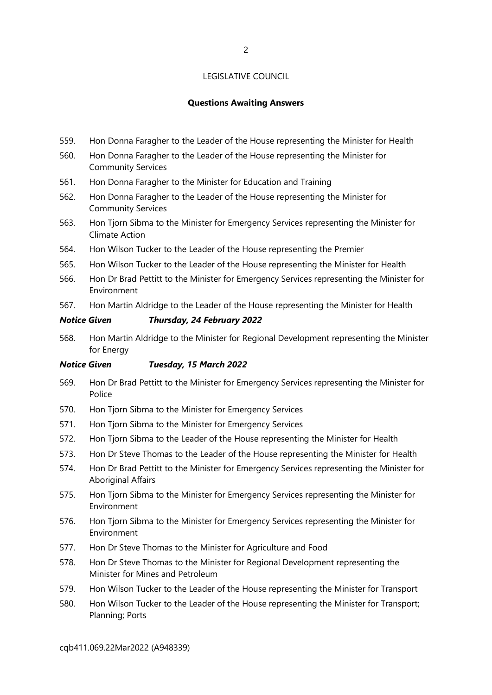# Questions Awaiting Answers

- 559. Hon Donna Faragher to the Leader of the House representing the Minister for Health
- 560. Hon Donna Faragher to the Leader of the House representing the Minister for Community Services
- 561. Hon Donna Faragher to the Minister for Education and Training
- 562. Hon Donna Faragher to the Leader of the House representing the Minister for Community Services
- 563. Hon Tjorn Sibma to the Minister for Emergency Services representing the Minister for Climate Action
- 564. Hon Wilson Tucker to the Leader of the House representing the Premier
- 565. Hon Wilson Tucker to the Leader of the House representing the Minister for Health
- 566. Hon Dr Brad Pettitt to the Minister for Emergency Services representing the Minister for Environment
- 567. Hon Martin Aldridge to the Leader of the House representing the Minister for Health

# Notice Given Thursday, 24 February 2022

568. Hon Martin Aldridge to the Minister for Regional Development representing the Minister for Energy

#### Notice Given Tuesday, 15 March 2022

- 569. Hon Dr Brad Pettitt to the Minister for Emergency Services representing the Minister for Police
- 570. Hon Tjorn Sibma to the Minister for Emergency Services
- 571. Hon Tjorn Sibma to the Minister for Emergency Services
- 572. Hon Tjorn Sibma to the Leader of the House representing the Minister for Health
- 573. Hon Dr Steve Thomas to the Leader of the House representing the Minister for Health
- 574. Hon Dr Brad Pettitt to the Minister for Emergency Services representing the Minister for Aboriginal Affairs
- 575. Hon Tjorn Sibma to the Minister for Emergency Services representing the Minister for Environment
- 576. Hon Tjorn Sibma to the Minister for Emergency Services representing the Minister for Environment
- 577. Hon Dr Steve Thomas to the Minister for Agriculture and Food
- 578. Hon Dr Steve Thomas to the Minister for Regional Development representing the Minister for Mines and Petroleum
- 579. Hon Wilson Tucker to the Leader of the House representing the Minister for Transport
- 580. Hon Wilson Tucker to the Leader of the House representing the Minister for Transport; Planning; Ports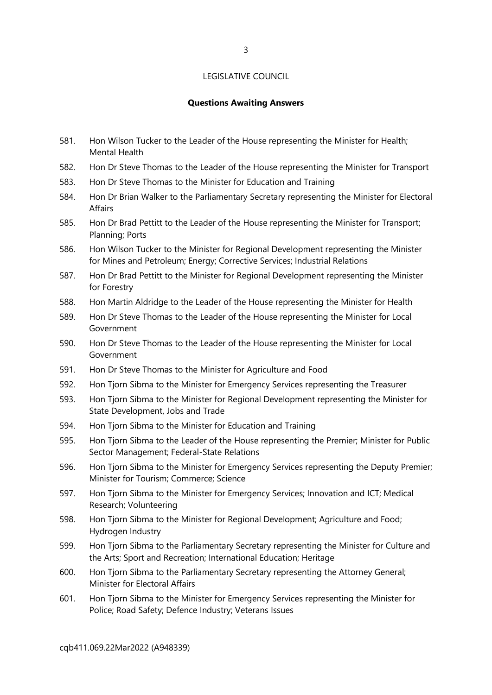# Questions Awaiting Answers

- 581. Hon Wilson Tucker to the Leader of the House representing the Minister for Health; Mental Health
- 582. Hon Dr Steve Thomas to the Leader of the House representing the Minister for Transport
- 583. Hon Dr Steve Thomas to the Minister for Education and Training
- 584. Hon Dr Brian Walker to the Parliamentary Secretary representing the Minister for Electoral Affairs
- 585. Hon Dr Brad Pettitt to the Leader of the House representing the Minister for Transport; Planning; Ports
- 586. Hon Wilson Tucker to the Minister for Regional Development representing the Minister for Mines and Petroleum; Energy; Corrective Services; Industrial Relations
- 587. Hon Dr Brad Pettitt to the Minister for Regional Development representing the Minister for Forestry
- 588. Hon Martin Aldridge to the Leader of the House representing the Minister for Health
- 589. Hon Dr Steve Thomas to the Leader of the House representing the Minister for Local Government
- 590. Hon Dr Steve Thomas to the Leader of the House representing the Minister for Local Government
- 591. Hon Dr Steve Thomas to the Minister for Agriculture and Food
- 592. Hon Tjorn Sibma to the Minister for Emergency Services representing the Treasurer
- 593. Hon Tjorn Sibma to the Minister for Regional Development representing the Minister for State Development, Jobs and Trade
- 594. Hon Tjorn Sibma to the Minister for Education and Training
- 595. Hon Tjorn Sibma to the Leader of the House representing the Premier; Minister for Public Sector Management; Federal-State Relations
- 596. Hon Tjorn Sibma to the Minister for Emergency Services representing the Deputy Premier; Minister for Tourism; Commerce; Science
- 597. Hon Tjorn Sibma to the Minister for Emergency Services; Innovation and ICT; Medical Research; Volunteering
- 598. Hon Tjorn Sibma to the Minister for Regional Development; Agriculture and Food; Hydrogen Industry
- 599. Hon Tjorn Sibma to the Parliamentary Secretary representing the Minister for Culture and the Arts; Sport and Recreation; International Education; Heritage
- 600. Hon Tjorn Sibma to the Parliamentary Secretary representing the Attorney General; Minister for Electoral Affairs
- 601. Hon Tjorn Sibma to the Minister for Emergency Services representing the Minister for Police; Road Safety; Defence Industry; Veterans Issues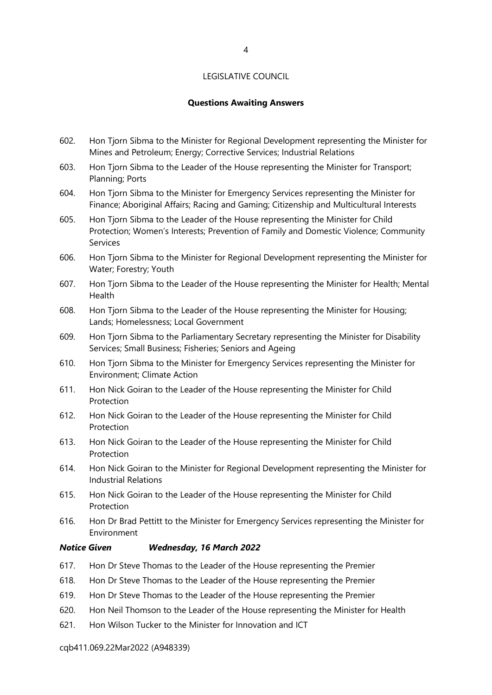# Questions Awaiting Answers

- 602. Hon Tjorn Sibma to the Minister for Regional Development representing the Minister for Mines and Petroleum; Energy; Corrective Services; Industrial Relations
- 603. Hon Tjorn Sibma to the Leader of the House representing the Minister for Transport; Planning; Ports
- 604. Hon Tjorn Sibma to the Minister for Emergency Services representing the Minister for Finance; Aboriginal Affairs; Racing and Gaming; Citizenship and Multicultural Interests
- 605. Hon Tjorn Sibma to the Leader of the House representing the Minister for Child Protection; Women's Interests; Prevention of Family and Domestic Violence; Community Services
- 606. Hon Tjorn Sibma to the Minister for Regional Development representing the Minister for Water; Forestry; Youth
- 607. Hon Tjorn Sibma to the Leader of the House representing the Minister for Health; Mental Health
- 608. Hon Tjorn Sibma to the Leader of the House representing the Minister for Housing; Lands; Homelessness; Local Government
- 609. Hon Tjorn Sibma to the Parliamentary Secretary representing the Minister for Disability Services; Small Business; Fisheries; Seniors and Ageing
- 610. Hon Tjorn Sibma to the Minister for Emergency Services representing the Minister for Environment; Climate Action
- 611. Hon Nick Goiran to the Leader of the House representing the Minister for Child Protection
- 612. Hon Nick Goiran to the Leader of the House representing the Minister for Child Protection
- 613. Hon Nick Goiran to the Leader of the House representing the Minister for Child Protection
- 614. Hon Nick Goiran to the Minister for Regional Development representing the Minister for Industrial Relations
- 615. Hon Nick Goiran to the Leader of the House representing the Minister for Child **Protection**
- 616. Hon Dr Brad Pettitt to the Minister for Emergency Services representing the Minister for Environment

# Notice Given Wednesday, 16 March 2022

- 617. Hon Dr Steve Thomas to the Leader of the House representing the Premier
- 618. Hon Dr Steve Thomas to the Leader of the House representing the Premier
- 619. Hon Dr Steve Thomas to the Leader of the House representing the Premier
- 620. Hon Neil Thomson to the Leader of the House representing the Minister for Health
- 621. Hon Wilson Tucker to the Minister for Innovation and ICT

#### cqb411.069.22Mar2022 (A948339)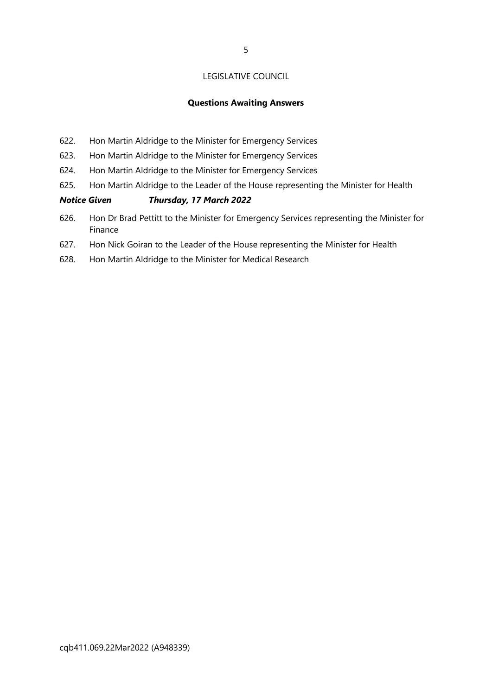# Questions Awaiting Answers

- 622. Hon Martin Aldridge to the Minister for Emergency Services
- 623. Hon Martin Aldridge to the Minister for Emergency Services
- 624. Hon Martin Aldridge to the Minister for Emergency Services
- 625. Hon Martin Aldridge to the Leader of the House representing the Minister for Health

# Notice Given Thursday, 17 March 2022

- 626. Hon Dr Brad Pettitt to the Minister for Emergency Services representing the Minister for Finance
- 627. Hon Nick Goiran to the Leader of the House representing the Minister for Health
- 628. Hon Martin Aldridge to the Minister for Medical Research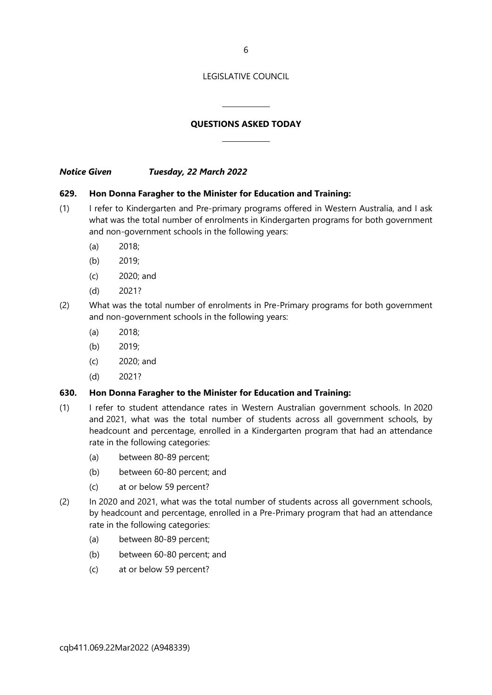6

#### LEGISLATIVE COUNCIL

# QUESTIONS ASKED TODAY

 $\overline{a}$ 

 $\overline{a}$ 

Notice Given Tuesday, 22 March 2022

#### 629. Hon Donna Faragher to the Minister for Education and Training:

- (1) I refer to Kindergarten and Pre-primary programs offered in Western Australia, and I ask what was the total number of enrolments in Kindergarten programs for both government and non-government schools in the following years:
	- (a) 2018;
	- (b) 2019;
	- (c) 2020; and
	- (d) 2021?
- (2) What was the total number of enrolments in Pre-Primary programs for both government and non-government schools in the following years:
	- (a) 2018;
	- (b) 2019;
	- (c) 2020; and
	- (d) 2021?

# 630. Hon Donna Faragher to the Minister for Education and Training:

- (1) I refer to student attendance rates in Western Australian government schools. In 2020 and 2021, what was the total number of students across all government schools, by headcount and percentage, enrolled in a Kindergarten program that had an attendance rate in the following categories:
	- (a) between 80-89 percent;
	- (b) between 60-80 percent; and
	- (c) at or below 59 percent?
- (2) In 2020 and 2021, what was the total number of students across all government schools, by headcount and percentage, enrolled in a Pre-Primary program that had an attendance rate in the following categories:
	- (a) between 80-89 percent;
	- (b) between 60-80 percent; and
	- (c) at or below 59 percent?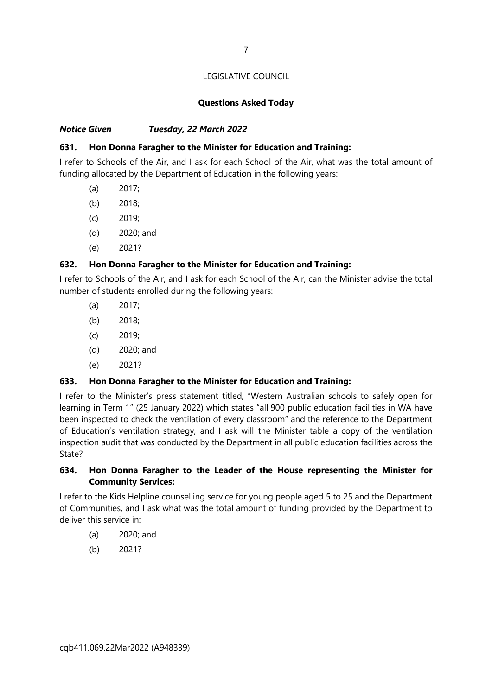# Questions Asked Today

# Notice Given Tuesday, 22 March 2022

# 631. Hon Donna Faragher to the Minister for Education and Training:

I refer to Schools of the Air, and I ask for each School of the Air, what was the total amount of funding allocated by the Department of Education in the following years:

- (a) 2017;
- (b) 2018;
- (c) 2019;
- (d) 2020; and
- (e) 2021?

#### 632. Hon Donna Faragher to the Minister for Education and Training:

I refer to Schools of the Air, and I ask for each School of the Air, can the Minister advise the total number of students enrolled during the following years:

- (a) 2017;
- (b) 2018;
- (c) 2019;
- (d) 2020; and
- (e) 2021?

#### 633. Hon Donna Faragher to the Minister for Education and Training:

I refer to the Minister's press statement titled, "Western Australian schools to safely open for learning in Term 1" (25 January 2022) which states "all 900 public education facilities in WA have been inspected to check the ventilation of every classroom" and the reference to the Department of Education's ventilation strategy, and I ask will the Minister table a copy of the ventilation inspection audit that was conducted by the Department in all public education facilities across the State?

# 634. Hon Donna Faragher to the Leader of the House representing the Minister for Community Services:

I refer to the Kids Helpline counselling service for young people aged 5 to 25 and the Department of Communities, and I ask what was the total amount of funding provided by the Department to deliver this service in:

- (a) 2020; and
- (b) 2021?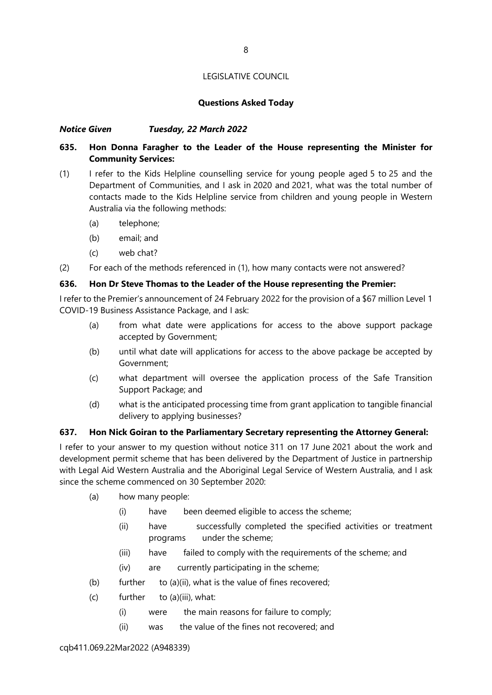# Questions Asked Today

# Notice Given Tuesday, 22 March 2022

# 635. Hon Donna Faragher to the Leader of the House representing the Minister for Community Services:

- (1) I refer to the Kids Helpline counselling service for young people aged 5 to 25 and the Department of Communities, and I ask in 2020 and 2021, what was the total number of contacts made to the Kids Helpline service from children and young people in Western Australia via the following methods:
	- (a) telephone;
	- (b) email; and
	- (c) web chat?

(2) For each of the methods referenced in (1), how many contacts were not answered?

# 636. Hon Dr Steve Thomas to the Leader of the House representing the Premier:

I refer to the Premier's announcement of 24 February 2022 for the provision of a \$67 million Level 1 COVID-19 Business Assistance Package, and I ask:

- (a) from what date were applications for access to the above support package accepted by Government;
- (b) until what date will applications for access to the above package be accepted by Government;
- (c) what department will oversee the application process of the Safe Transition Support Package; and
- (d) what is the anticipated processing time from grant application to tangible financial delivery to applying businesses?

# 637. Hon Nick Goiran to the Parliamentary Secretary representing the Attorney General:

I refer to your answer to my question without notice 311 on 17 June 2021 about the work and development permit scheme that has been delivered by the Department of Justice in partnership with Legal Aid Western Australia and the Aboriginal Legal Service of Western Australia, and I ask since the scheme commenced on 30 September 2020:

- (a) how many people:
	- (i) have been deemed eligible to access the scheme;
	- (ii) have successfully completed the specified activities or treatment programs under the scheme;
	- (iii) have failed to comply with the requirements of the scheme; and
	- (iv) are currently participating in the scheme;
- (b) further to (a)(ii), what is the value of fines recovered;
- (c) further to (a)(iii), what:
	- (i) were the main reasons for failure to comply;
	- (ii) was the value of the fines not recovered; and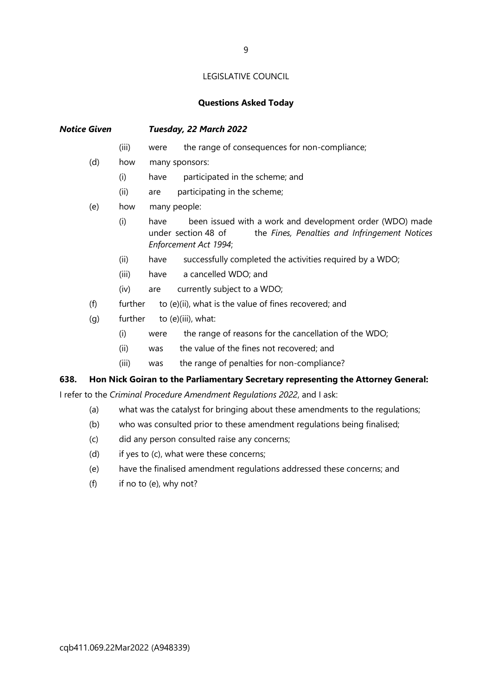#### Questions Asked Today

Notice Given Tuesday, 22 March 2022 (iii) were the range of consequences for non-compliance;

- (d) how many sponsors:
	- (i) have participated in the scheme; and
	- (ii) are participating in the scheme;
- (e) how many people:
	- (i) have been issued with a work and development order (WDO) made under section 48 of the Fines, Penalties and Infringement Notices Enforcement Act 1994;
	- (ii) have successfully completed the activities required by a WDO;
	- (iii) have a cancelled WDO; and
	- (iv) are currently subject to a WDO;
- (f) further to  $(e)(ii)$ , what is the value of fines recovered; and
- (g) further to (e)(iii), what:
	- (i) were the range of reasons for the cancellation of the WDO;
	- (ii) was the value of the fines not recovered; and
	- (iii) was the range of penalties for non-compliance?

# 638. Hon Nick Goiran to the Parliamentary Secretary representing the Attorney General:

I refer to the Criminal Procedure Amendment Regulations 2022, and I ask:

- (a) what was the catalyst for bringing about these amendments to the regulations;
- (b) who was consulted prior to these amendment regulations being finalised;
- (c) did any person consulted raise any concerns;
- (d) if yes to (c), what were these concerns;
- (e) have the finalised amendment regulations addressed these concerns; and
- (f) if no to (e), why not?